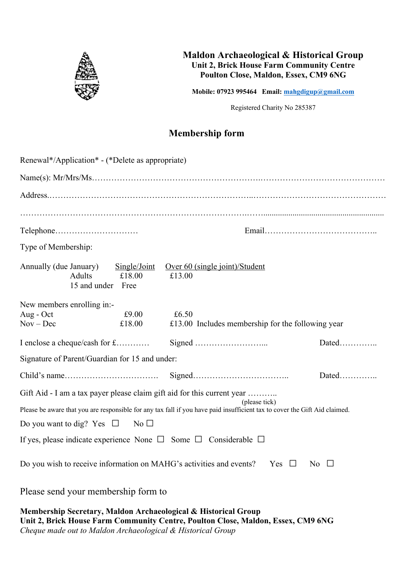

## **Maldon Archaeological & Historical Group Unit 2, Brick House Farm Community Centre Poulton Close, Maldon, Essex, CM9 6NG**

**Mobile: 07923 995464 Email: mahgdigup@gmail.com**

Registered Charity No 285387

## **Membership form**

| Renewal*/Application* - (*Delete as appropriate)                                                                                                                                                                       |                        |                                                            |           |
|------------------------------------------------------------------------------------------------------------------------------------------------------------------------------------------------------------------------|------------------------|------------------------------------------------------------|-----------|
|                                                                                                                                                                                                                        |                        |                                                            |           |
|                                                                                                                                                                                                                        |                        |                                                            |           |
|                                                                                                                                                                                                                        |                        |                                                            |           |
|                                                                                                                                                                                                                        |                        |                                                            |           |
| Type of Membership:                                                                                                                                                                                                    |                        |                                                            |           |
| Annually (due January)<br><b>Adults</b><br>15 and under Free                                                                                                                                                           | Single/Joint<br>£18.00 | Over 60 (single joint)/Student<br>£13.00                   |           |
| New members enrolling in:-<br>Aug - Oct<br>$Nov - Dec$                                                                                                                                                                 | £9.00<br>£18.00        | £6.50<br>£13.00 Includes membership for the following year |           |
|                                                                                                                                                                                                                        |                        |                                                            | $Dated$   |
| Signature of Parent/Guardian for 15 and under:                                                                                                                                                                         |                        |                                                            |           |
|                                                                                                                                                                                                                        |                        |                                                            |           |
| Gift Aid - I am a tax payer please claim gift aid for this current year<br>(please tick)<br>Please be aware that you are responsible for any tax fall if you have paid insufficient tax to cover the Gift Aid claimed. |                        |                                                            |           |
| Do you want to dig? Yes $\Box$                                                                                                                                                                                         | No $\square$           |                                                            |           |
| If yes, please indicate experience None $\Box$ Some $\Box$ Considerable $\Box$                                                                                                                                         |                        |                                                            |           |
| Do you wish to receive information on MAHG's activities and events?                                                                                                                                                    |                        | Yes $\Box$                                                 | No $\Box$ |

Please send your membership form to

**Membership Secretary, Maldon Archaeological & Historical Group Unit 2, Brick House Farm Community Centre, Poulton Close, Maldon, Essex, CM9 6NG** *Cheque made out to Maldon Archaeological & Historical Group*